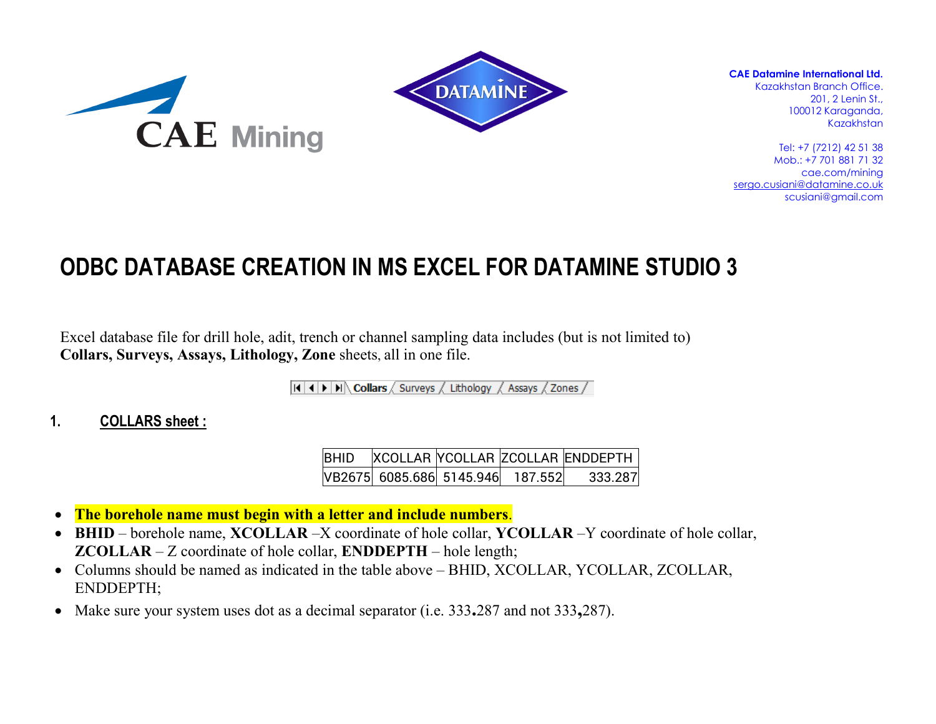



**CAE Datamine International Ltd.**

Kazakhstan Branch Office. 201, 2 Lenin St., 100012 Karaganda, Kazakhstan

Tel: +7 (7212) 42 51 38 Mob.: +7 701 881 71 32 cae.com/mining sergo.cusiani@datamine.co.uk scusiani@gmail.com

# **ODBC DATABASE CREATION IN MS EXCEL FOR DATAMINE STUDIO 3**

Excel database file for drill hole, adit, trench or channel sampling data includes (but is not limited to) **Collars, Surveys, Assays, Lithology, Zone** sheets, all in one file.

 $\vert A \vert \vert A \vert$  >  $\vert B \vert \vert$  Collars  $\langle$  Surveys  $\langle$  Lithology  $\langle$  Assays  $\langle$  Zones  $\langle$ 

### **1. COLLARS sheet :**

BHID XCOLLAR YCOLLAR ZCOLLAR ENDDEPTH VB2675 6085.686 5145.946 187.552 333.287

- **The borehole name must begin with a letter and include numbers**.
- **BHID** borehole name, **XCOLLAR** –X coordinate of hole collar, **YCOLLAR** –Y coordinate of hole collar, **ZCOLLAR** – Z coordinate of hole collar, **ENDDEPTH** – hole length;
- Columns should be named as indicated in the table above BHID, XCOLLAR, YCOLLAR, ZCOLLAR, ENDDEPTH;
- Make sure your system uses dot as a decimal separator (i.e. 333**.**287 and not 333**,**287).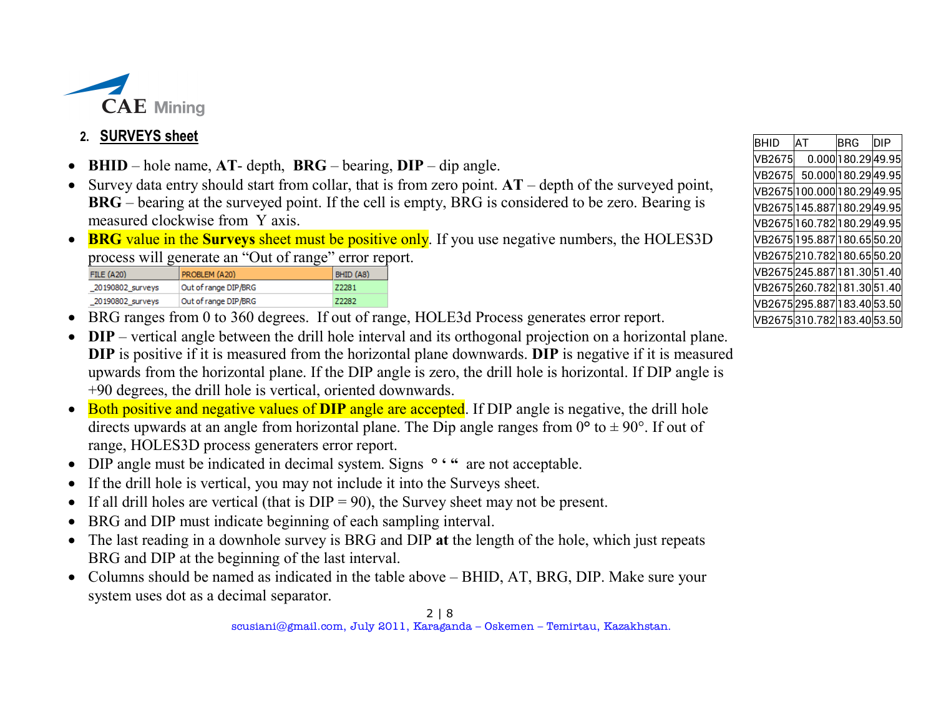

- **BHID** hole name, **AT** depth, **BRG** bearing, **DIP** dip angle.
- Survey data entry should start from collar, that is from zero point. **АТ** depth of the surveyed point, **BRG** – bearing at the surveyed point. If the cell is empty, BRG is considered to be zero. Bearing is measured clockwise from Y axis.
- **BRG** value in the **Surveys** sheet must be positive only. If you use negative numbers, the HOLES3D process will generate an "Out of range" error report.

| <b>FILE (A20)</b> | PROBLEM (A20)        | <b>BHID (A8)</b> |  |  |  |
|-------------------|----------------------|------------------|--|--|--|
| 20190802 surveys  | Out of range DIP/BRG | Z2281            |  |  |  |
| 20190802 surveys  | Out of range DIP/BRG | 72282            |  |  |  |

- BRG ranges from 0 to 360 degrees. If out of range, HOLE3d Process generates error report.
- **DIP** vertical angle between the drill hole interval and its orthogonal projection on a horizontal plane. **DIP** is positive if it is measured from the horizontal plane downwards. **DIP** is negative if it is measured upwards from the horizontal plane. If the DIP angle is zero, the drill hole is horizontal. If DIP angle is +90 degrees, the drill hole is vertical, oriented downwards.
- Both positive and negative values of **DIP** angle are accepted. If DIP angle is negative, the drill hole directs upwards at an angle from horizontal plane. The Dip angle ranges from  $0^{\circ}$  to  $\pm$  90°. If out of range, HOLES3D process generaters error report.
- DIP angle must be indicated in decimal system. Signs <sup>o.</sup> " are not acceptable.
- If the drill hole is vertical, you may not include it into the Surveys sheet.
- If all drill holes are vertical (that is  $DIP = 90$ ), the Survey sheet may not be present.
- BRG and DIP must indicate beginning of each sampling interval.
- The last reading in a downhole survey is BRG and DIP **at** the length of the hole, which just repeats BRG and DIP at the beginning of the last interval.
- Columns should be named as indicated in the table above BHID, AT, BRG, DIP. Make sure your system uses dot as a decimal separator.

| 2. SURVEYS sheet  |                                                                            |           |                                                                                                            | <b>BHID</b>   | -AT                         | <b>BRG</b>         | <b>DIP</b> |
|-------------------|----------------------------------------------------------------------------|-----------|------------------------------------------------------------------------------------------------------------|---------------|-----------------------------|--------------------|------------|
|                   | <b>BHID</b> – hole name, $AT$ - depth, $BRG$ – bearing, $DIP$ – dip angle. |           |                                                                                                            | <b>VB2675</b> |                             | 0.000 180.29 49.95 |            |
|                   |                                                                            |           |                                                                                                            |               | VB2675 50.000 180.29 49.95  |                    |            |
|                   |                                                                            |           | Survey data entry should start from collar, that is from zero point. $AT$ – depth of the surveyed point,   |               | VB2675100.000180.2949.95    |                    |            |
|                   |                                                                            |           | <b>BRG</b> – bearing at the surveyed point. If the cell is empty, BRG is considered to be zero. Bearing is |               | VB2675 145.887 180.29 49.95 |                    |            |
|                   | measured clockwise from Y axis.                                            |           |                                                                                                            |               | VB2675160.782180.2949.95    |                    |            |
|                   |                                                                            |           | <b>BRG</b> value in the Surveys sheet must be positive only. If you use negative numbers, the HOLES3D      |               | VB2675 195.887 180.65 50.20 |                    |            |
|                   | process will generate an "Out of range" error report.                      |           |                                                                                                            |               | VB2675210.782180.6550.20    |                    |            |
| <b>FILE (A20)</b> | PROBLEM (A20)                                                              | BHID (A8) |                                                                                                            |               | VB2675245.887181.3051.40    |                    |            |
| _20190802_surveys | Out of range DIP/BRG                                                       | Z2281     |                                                                                                            |               | VB2675260.782181.3051.40    |                    |            |
| _20190802_surveys | Out of range DIP/BRG                                                       | Z2282     |                                                                                                            |               | VB2675295.887183.4053.50    |                    |            |
|                   |                                                                            |           | BRG ranges from 0 to 360 degrees. If out of range, HOLE3d Process generates error report.                  |               | VB2675310.782183.4053.50    |                    |            |
|                   |                                                                            |           |                                                                                                            |               |                             |                    |            |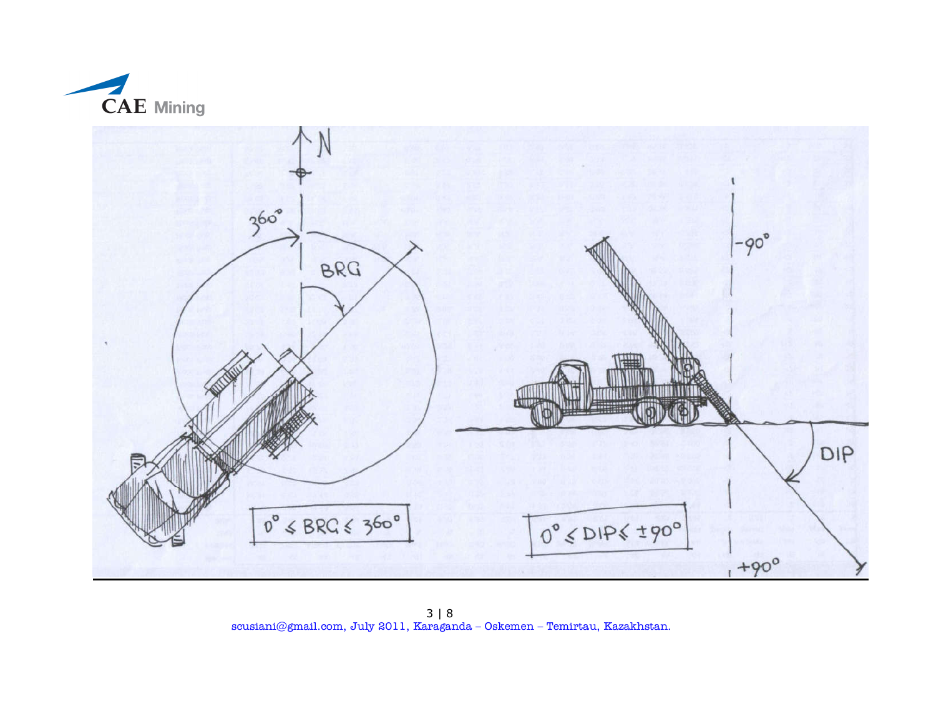



 $3 | 8$ scusiani@gmail.com, July 2011, Karaganda – Oskemen – Temirtau, Kazakhstan.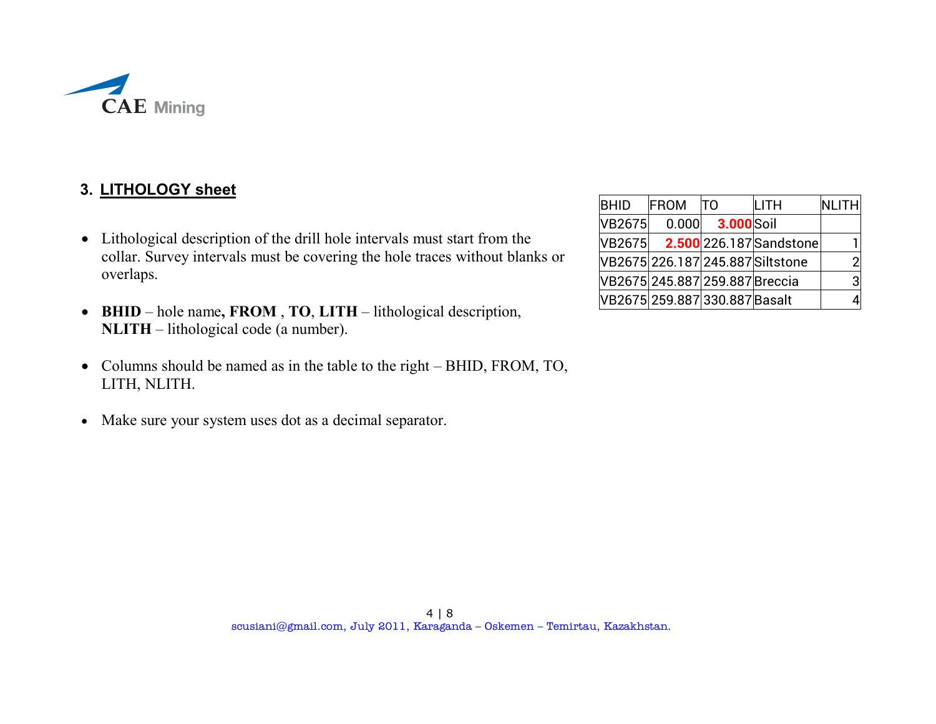

#### **3. LITHOLOGY sheet**

- Lithological description of the drill hole intervals must start from the collar. Survey intervals must be covering the hole traces without blanks or overlaps.
- **BHID** hole name**, FROM** , **TO**, **LITH** lithological description, **NLITH** – lithological code (a number).
- Columns should be named as in the table to the right BHID, FROM, TO, LITH, NLITH.
- Make sure your system uses dot as a decimal separator.

| <b>BHID</b>   | <b>FROM</b> | lΤO                            | LITH                          | <b>NLITH</b> |
|---------------|-------------|--------------------------------|-------------------------------|--------------|
| VB2675        | 0.000       | 3.000 Soil                     |                               |              |
| <b>VB2675</b> |             |                                | 2.500 226.187 Sandstone       |              |
|               |             |                                | VB2675226.187245.887Siltstone | 2            |
|               |             | VB2675 245.887 259.887 Breccia |                               | 3            |
|               |             | VB2675 259.887 330.887 Basalt  |                               | 4            |
|               |             |                                |                               |              |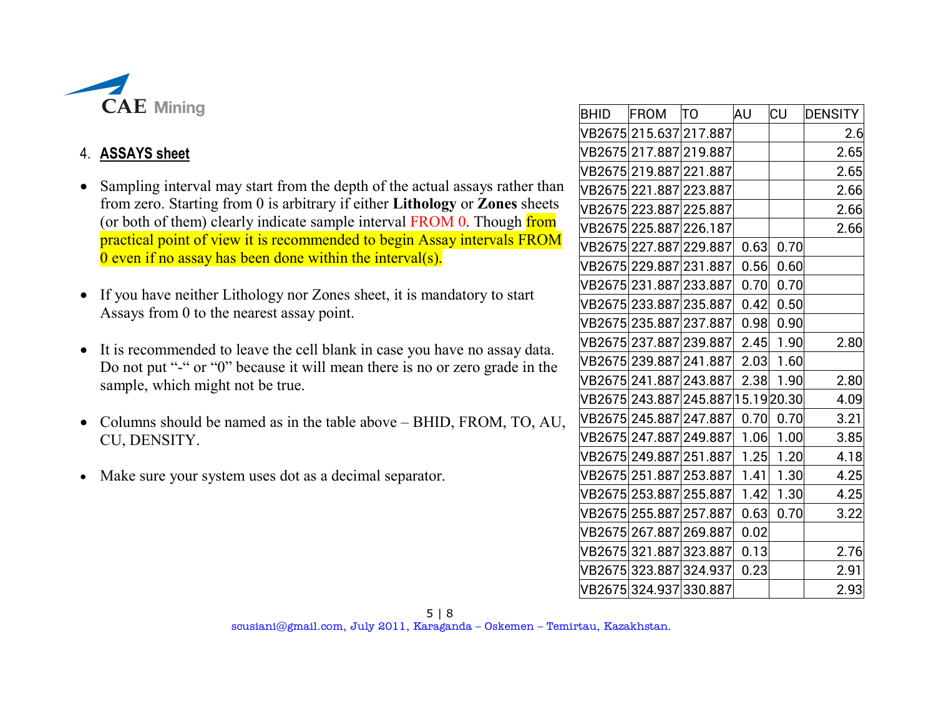

# 4. **ASSAYS sheet**

- Sampling interval may start from the depth of the actual assays rather than from zero. Starting from 0 is arbitrary if either **Lithology** or **Zones** sheets (or both of them) clearly indicate sample interval FROM 0. Though from practical point of view it is recommended to begin Assay intervals FROM 0 even if no assay has been done within the interval(s).
- If you have neither Lithology nor Zones sheet, it is mandatory to start Assays from 0 to the nearest assay point.
- It is recommended to leave the cell blank in case you have no assay data. Do not put "-" or "0" because it will mean there is no or zero grade in the sample, which might not be true.
- Columns should be named as in the table above BHID, FROM, TO, AU, CU, DENSITY.
- Make sure your system uses dot as a decimal separator.

| BHID | FROM                               | TO | AU   | CU   | <b>DENSITY</b> |
|------|------------------------------------|----|------|------|----------------|
|      | VB2675 215.637 217.887             |    |      |      | 2.6            |
|      | VB2675 217.887 219.887             |    |      |      | 2.65           |
|      | VB2675 219.887 221.887             |    |      |      | 2.65           |
|      | VB2675 221.887 223.887             |    |      |      | 2.66           |
|      | VB2675 223.887 225.887             |    |      |      | 2.66           |
|      | VB2675 225.887 226.187             |    |      |      | 2.66           |
|      | VB2675 227 887 229 887             |    | 0.63 | 0.70 |                |
|      | VB2675 229.887 231.887             |    | 0.56 | 0.60 |                |
|      | VB2675 231 887 233 887             |    | 0.70 | 0.70 |                |
|      | VB2675 233.887 235.887             |    | 0.42 | 0.50 |                |
|      | VB2675 235.887 237.887             |    | 0.98 | 0.90 |                |
|      | VB2675 237.887 239.887             |    | 2.45 | 1.90 | 2.80           |
|      | VB2675 239.887 241.887             |    | 2.03 | 1.60 |                |
|      | VB2675 241 887 243 887             |    | 2.38 | 1.90 | 2.80           |
|      | VB2675 243.887 245.887 15.19 20.30 |    |      |      | 4.09           |
|      | VB2675 245.887 247.887             |    | 0.70 | 0.70 | 3.21           |
|      | VB2675 247.887 249.887             |    | 1.06 | 1.00 | 3.85           |
|      | VB2675 249.887 251.887             |    | 1.25 | 1.20 | 4.18           |
|      | VB2675 251.887 253.887             |    | 1.41 | 1.30 | 4.25           |
|      | VB2675 253.887 255.887             |    | 1.42 | 1.30 | 4.25           |
|      | VB2675 255.887 257.887             |    | 0.63 | 0.70 | 3.22           |
|      | VB2675 267.887 269.887             |    | 0.02 |      |                |
|      | VB2675 321.887 323.887             |    | 0.13 |      | 2.76           |
|      | VB2675323.887324.937               |    | 0.23 |      | 2.91           |
|      | VB2675324.937330.887               |    |      |      | 2.93           |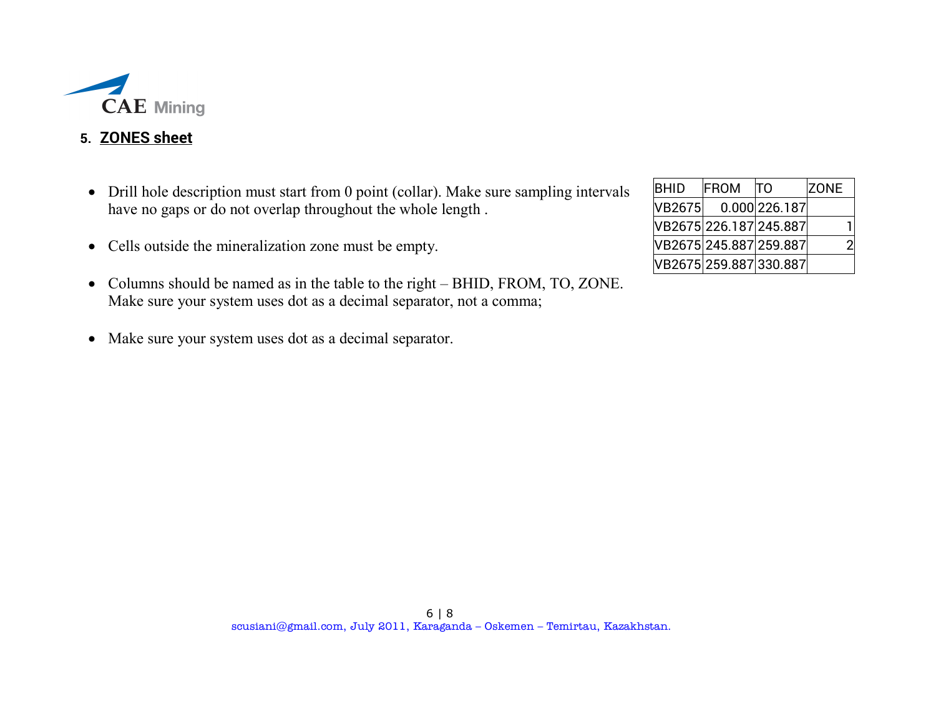

## **5. ZONES sheet**

- Drill hole description must start from 0 point (collar). Make sure sampling intervals have no gaps or do not overlap throughout the whole length .
- Cells outside the mineralization zone must be empty.
- Columns should be named as in the table to the right BHID, FROM, TO, ZONE. Make sure your system uses dot as a decimal separator, not a comma;
- Make sure your system uses dot as a decimal separator.

| <b>BHID</b>   | <b>FROM</b>            | TO              | <b>ZONE</b> |
|---------------|------------------------|-----------------|-------------|
| <b>VB2675</b> |                        | $0.000$ 226.187 |             |
|               | VB2675 226.187 245.887 |                 |             |
|               | VB2675 245.887 259.887 |                 | 2           |
|               | VB2675 259.887 330.887 |                 |             |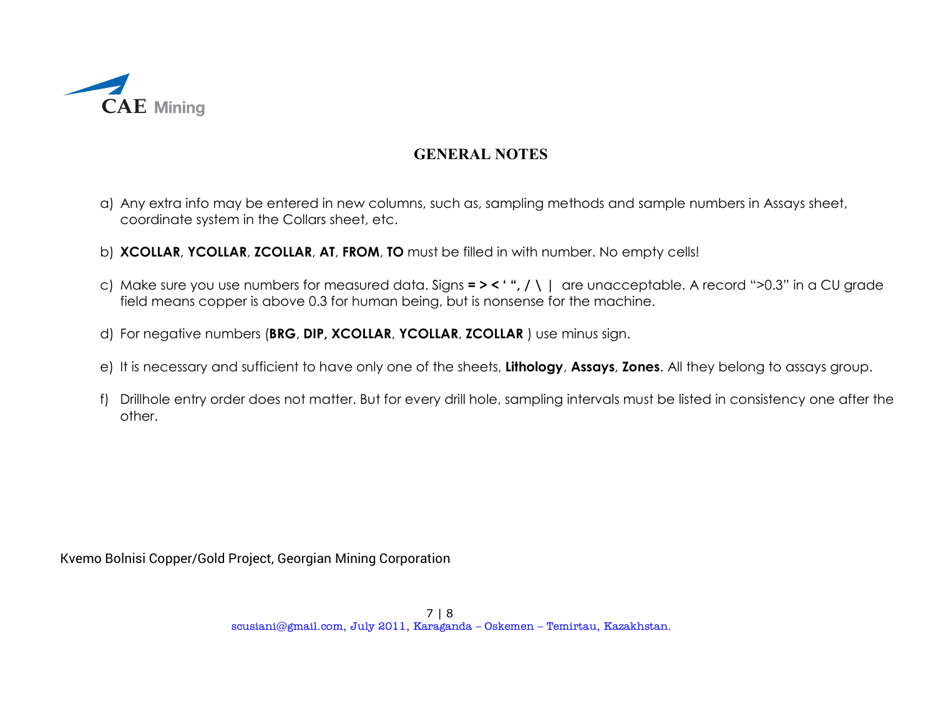

### **GENERAL NOTES**

- a) Any extra info may be entered in new columns, such as, sampling methods and sample numbers in Assays sheet, coordinate system in the Collars sheet, etc.
- b) **XCOLLAR**, **YCOLLAR**, **ZCOLLAR**, **АТ**, **FROM**, **TO** must be filled in with number. No empty cells!
- c) Make sure you use numbers for measured data. Signs **= > < ' ", / \ |** are unacceptable. A record ">0.3" in a CU grade field means copper is above 0.3 for human being, but is nonsense for the machine.
- d) For negative numbers (**BRG**, **DIP, XCOLLAR**, **YCOLLAR**, **ZCOLLAR** ) use minus sign.
- e) It is necessary and sufficient to have only one of the sheets, **Lithology**, **Assays**, **Zones**. All they belong to assays group.
- f) Drillhole entry order does not matter. But for every drill hole, sampling intervals must be listed in consistency one after the other.

Kvemo Bolnisi Copper/Gold Project, Georgian Mining Corporation